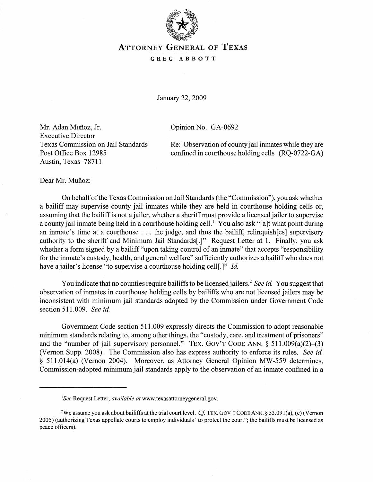

## ATTORNEY GENERAL OF TEXAS

## GREG ABBOTT

January 22, 2009

Opinion No. GA-0692

Mr. Adan Muñoz, Jr. Executive Director Texas Commission on Jail Standards Post Office Box 12985 Austin, Texas 78711

Re: Observation of county jail inmates while they are confined in courthouse holding cells (RQ-0722-GA)

Dear Mr. Muñoz:

On behalfofthe Texas Commission on Jail Standards (the "Commission"), you ask whether a bailiff may supervise county jail inmates while they are held in courthouse holding cells or, assuming that the bailiff is not a jailer, whether a sheriff must provide a licensed jailer to supervise a county jail inmate being held in a courthouse holding cell.<sup>1</sup> You also ask "[a]t what point during an inmate's time at <sup>a</sup> courthouse ... the judge, and thus the bailiff, relinquish[es] supervisory authority to the sheriff and Minimum Jail Standards[.]" Request Letter at 1. Finally, you ask whether a form signed by a bailiff "upon taking control of an inmate" that accepts "responsibility" for the inmate's custody, health, and general welfare" sufficiently authorizes a bailiff who does not have a jailer's license "to supervise a courthouse holding cell[.]" *Id.* 

You indicate that no counties require bailiffs to be licensed jailers.<sup>2</sup> *See id.* You suggest that observation of inmates in courthouse holding cells by bailiffs who are not licensed jailers may be inconsistent with minimum jail standards adopted by the Commission under Government Code section 511.009. *See id.*

Government Code section 511.009 expressly directs the Commission to adopt reasonable minimum standards relating to, among other things, the "custody, care, and treatment of prisoners" and the "number of jail supervisory personnel." TEX. GOV'T CODE ANN.  $\S$  511.009(a)(2)–(3) (Vernon Supp. 2008). The Commission also has express authority to enforce its rules. *See id.* § 511.014(a) (Vernon 2004). Moreover, as Attorney General Opinion MW-559 determines, Commission-adopted minimum jail standards apply to the observation of an inmate confined in a

*lSee* Request Letter, *available at* www.texasattorneygeneral.gov.

<sup>&</sup>lt;sup>2</sup>We assume you ask about bailiffs at the trial court level. *Cf*. TEX. GOV'T CODE ANN. § 53.091(a), (c) (Vernon 2005) (authorizing Texas appellate courts to employ individuals "to protect the court"; the bailiffs must be licensed as peace officers).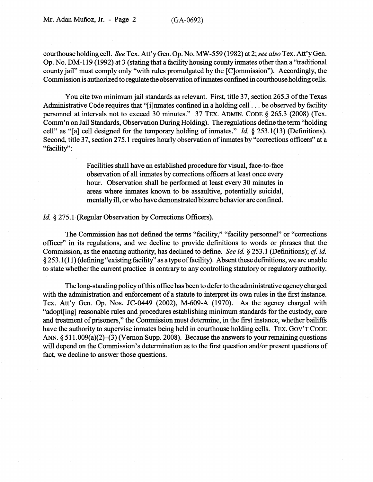courthouse holding cell. *See* Tex. Att'y Gen. Op. No. MW-559 (1982) at 2; *see also* Tex. Att'y Gen. Op. No. DM-119 (1992) at 3 (stating that a facility housing county inmates other than a ''traditional county jail" must comply only "with rules promulgated by the [C]ommission"). Accordingly, the Commission is authorized to regulate the observation of inmates confined in courthouse holding cells.

You cite two minimum jail standards as relevant. First, title 37, section 265.3 of the Texas Administrative Code requires that "[i]nmates confined in <sup>a</sup> holding cell... be observed by facility personnel at intervals not to exceed 30 minutes." 37 TEX. ADMIN. CODE § 265.3 (2008) (Tex. Comm'n on Jail Standards, Observation During Holding). The regulations define the term "holding cell" as "[a] cell designed for the temporary holding of inmates." *Id.* § 253.1(13) (Definitions). Second, title 37, section 275.1 requires hourly observation of inmates by "corrections officers" at a "facility":

> Facilities shall have an established procedure for visual, face-to-face observation of all inmates by corrections officers at least once every hour. Observation shall be performed at least every 30 minutes in areas where inmates known to be assaultive, potentially suicidal, mentallyill, orwho have demonstrated bizarre behavior are confined.

## Id. § 275.1 (Regular Observation by Corrections Officers).

The Commission has not defined the tenns "facility," "facility personnel" or "corrections officer" in its regulations, and we decline to provide definitions to words or phrases that the Commission, as the enacting authority, has declined to define. *See id.* § 253.1 (Definitions); *cf id.* §253.1(11) (defining "existing facility" as a typeoffacility). Absent these definitions, we are unable to state whether the current practice is contrary to any controlling statutory or regulatory authority.

The long-standing policyofthis office has been to deferto the administrative agency charged with the administration and enforcement of a statute to interpret its own rules in the first instance. Tex. Att'y Gen. Op. Nos. JC-0449 (2002), M-609-A (1970). As the agency charged with "adopt[ing] reasonable rules and procedures establishing minimum standards for the custody, care and treatment of prisoners," the Commission must determine, in the first instance, whether bailiffs have the authority to supervise inmates being held in courthouse holding cells. TEX. GOV'T CODE ANN.  $\S 511.009(a)(2)$  (3) (Vernon Supp. 2008). Because the answers to your remaining questions will depend on the Commission's determination as to the first question and/or present questions of fact, we decline to answer those questions.